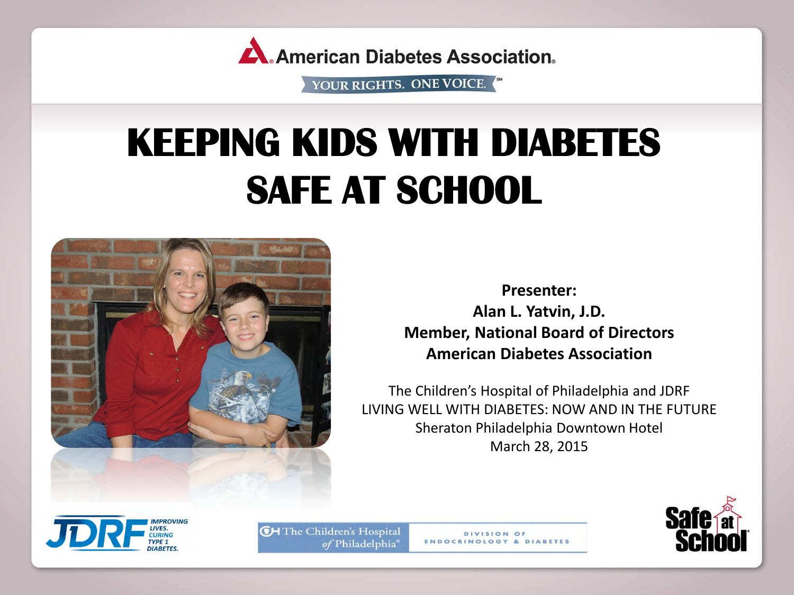

# **KEEPING KIDS WITH DIABETES SAFE AT SCHOOL**



**Presenter: Alan L. Yatvin, J.D. Member, National Board of Directors American Diabetes Association**

The Children's Hospital of Philadelphia and JDRF LIVING WELL WITH DIABETES: NOW AND IN THE FUTURE Sheraton Philadelphia Downtown Hotel March 28, 2015





**CH** The Children's Hospital of Philadelphia®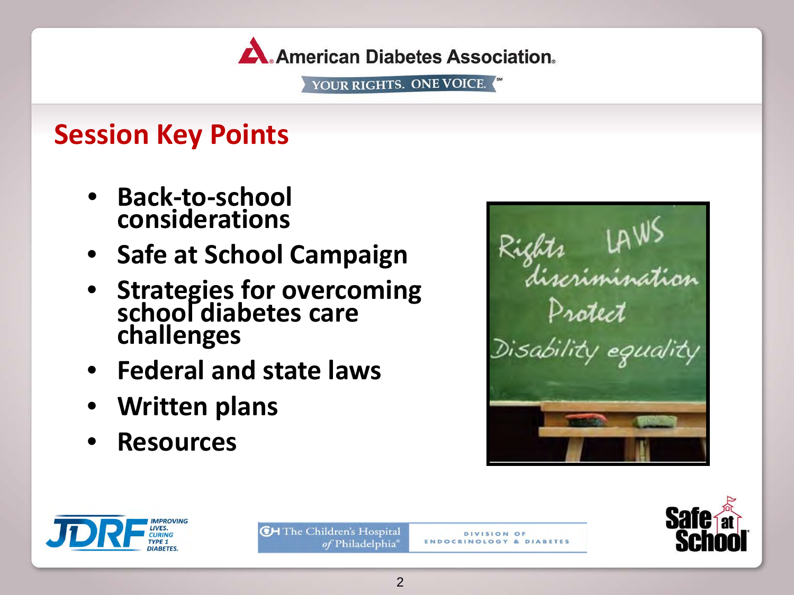

### **Session Key Points**

- **Back-to-school considerations**
- **Safe at School Campaign**
- **Strategies for overcoming school diabetes care challenges**
- **Federal and state laws**
- **Written plans**
- **Resources**







**CH** The Children's Hospital of Philadelphia<sup>®</sup>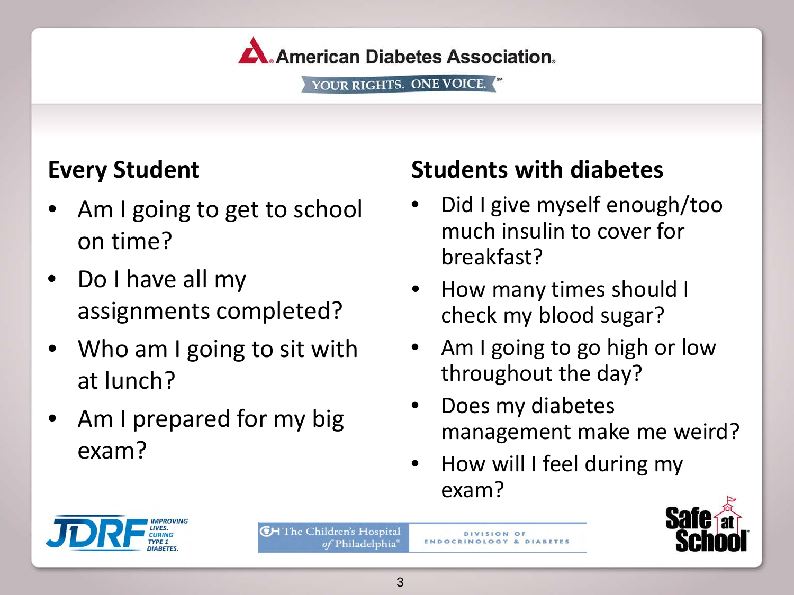

### **Every Student**

- Am I going to get to school on time?
- Do I have all my assignments completed?
- Who am I going to sit with at lunch?
- Am I prepared for my big exam?

### **Students with diabetes**

- Did I give myself enough/too much insulin to cover for breakfast?
- How many times should I check my blood sugar?
- Am I going to go high or low throughout the day?
- Does my diabetes management make me weird?
- How will I feel during my exam?



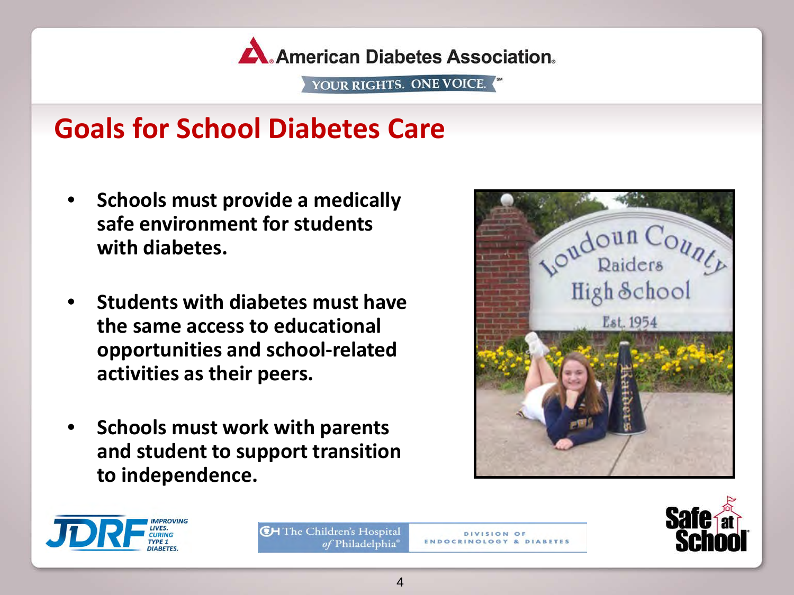

### **Goals for School Diabetes Care**

- **Schools must provide a medically safe environment for students with diabetes.**
- **Students with diabetes must have the same access to educational opportunities and school-related activities as their peers.**
- **Schools must work with parents and student to support transition to independence.**







**CH** The Children's Hospital of Philadelphia<sup>®</sup>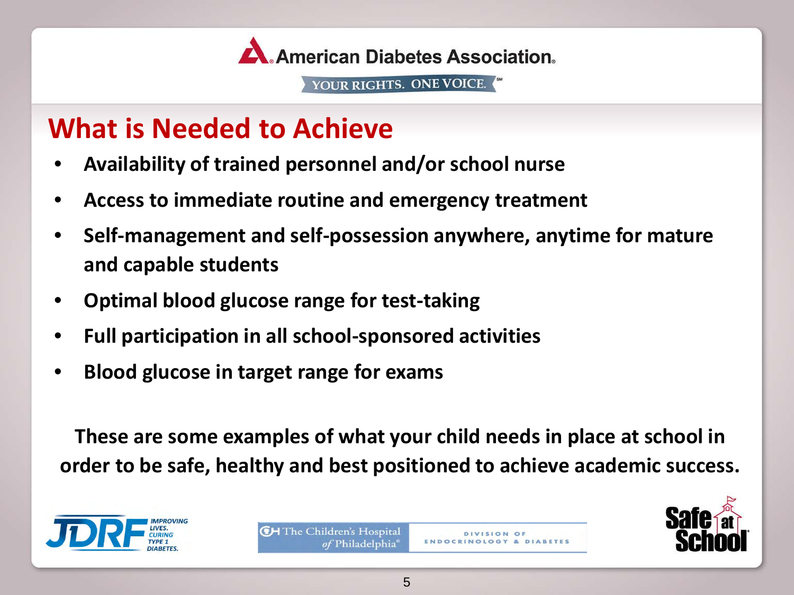

### **What is Needed to Achieve**

- **Availability of trained personnel and/or school nurse**
- **Access to immediate routine and emergency treatment**
- **Self-management and self-possession anywhere, anytime for mature and capable students**
- **Optimal blood glucose range for test-taking**
- **Full participation in all school-sponsored activities**
- **Blood glucose in target range for exams**

**These are some examples of what your child needs in place at school in order to be safe, healthy and best positioned to achieve academic success.**



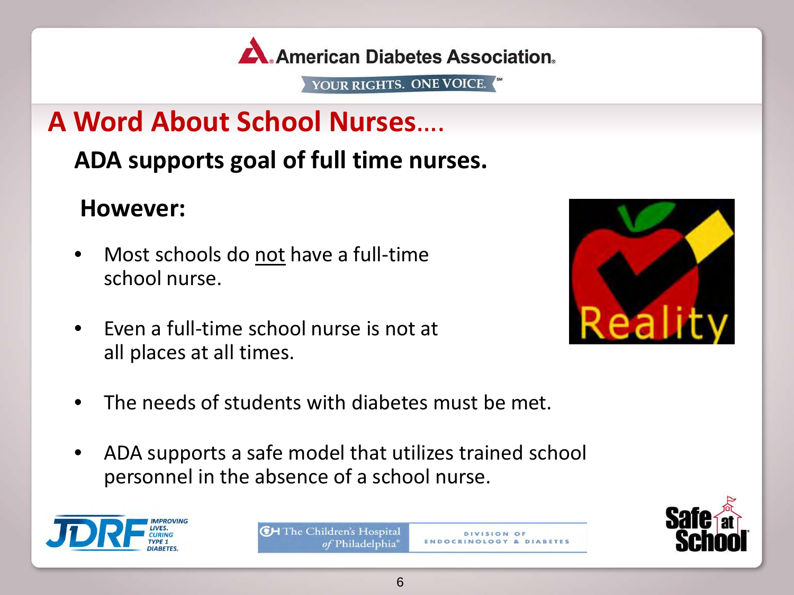

# **A Word About School Nurses**….

### **ADA supports goal of full time nurses.**

### **However:**

- Most schools do not have a full-time school nurse.
- Even a full-time school nurse is not at all places at all times.



- The needs of students with diabetes must be met.
- ADA supports a safe model that utilizes trained school personnel in the absence of a school nurse.



**CH** The Children's Hospital of Philadelphia



**DIVISION OF**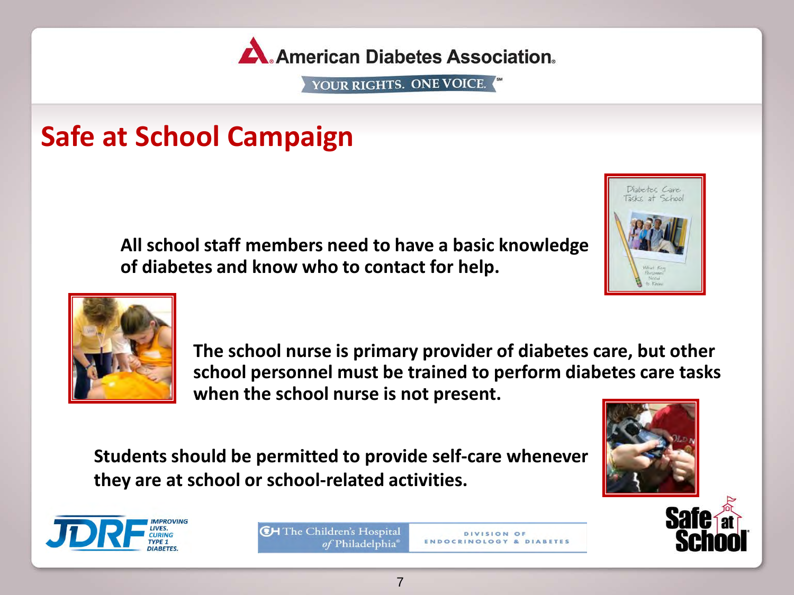

### **Safe at School Campaign**

**All school staff members need to have a basic knowledge of diabetes and know who to contact for help.**





**The school nurse is primary provider of diabetes care, but other school personnel must be trained to perform diabetes care tasks when the school nurse is not present.**

> DIVISION OF **ENDOCRINOLOGY & DIABETES**

**Students should be permitted to provide self-care whenever they are at school or school-related activities.**



**CH** The Children's Hospital of Philadelphia<sup>®</sup>

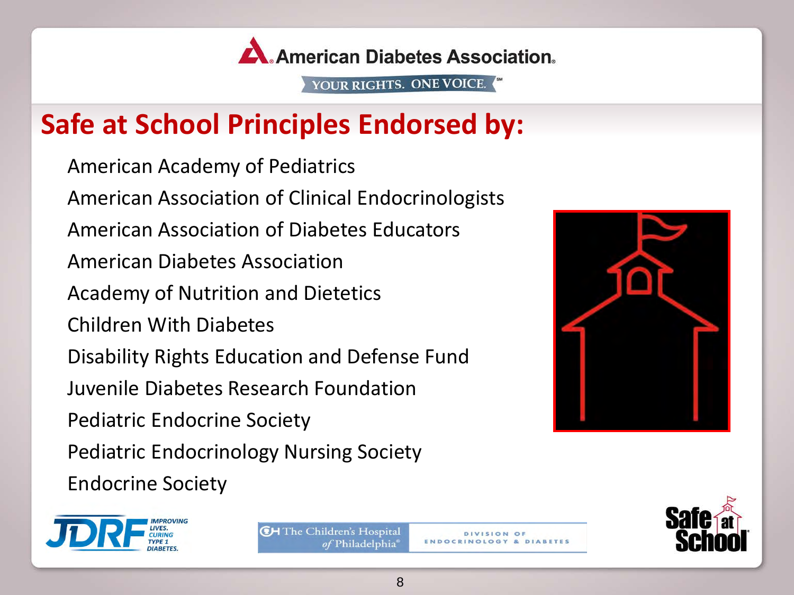

# **Safe at School Principles Endorsed by:**

American Academy of Pediatrics American Association of Clinical Endocrinologists American Association of Diabetes Educators American Diabetes Association Academy of Nutrition and Dietetics Children With Diabetes Disability Rights Education and Defense Fund Juvenile Diabetes Research Foundation Pediatric Endocrine Society Pediatric Endocrinology Nursing Society Endocrine Society







**CH** The Children's Hospital of Philadelphia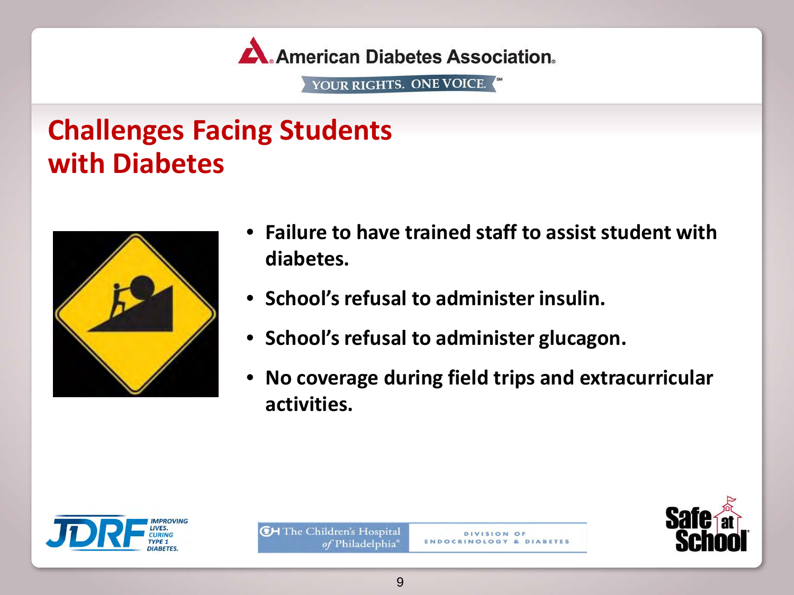

## **Challenges Facing Students with Diabetes**



- **Failure to have trained staff to assist student with diabetes.**
- **School's refusal to administer insulin.**
- **School's refusal to administer glucagon.**
- **No coverage during field trips and extracurricular activities.**





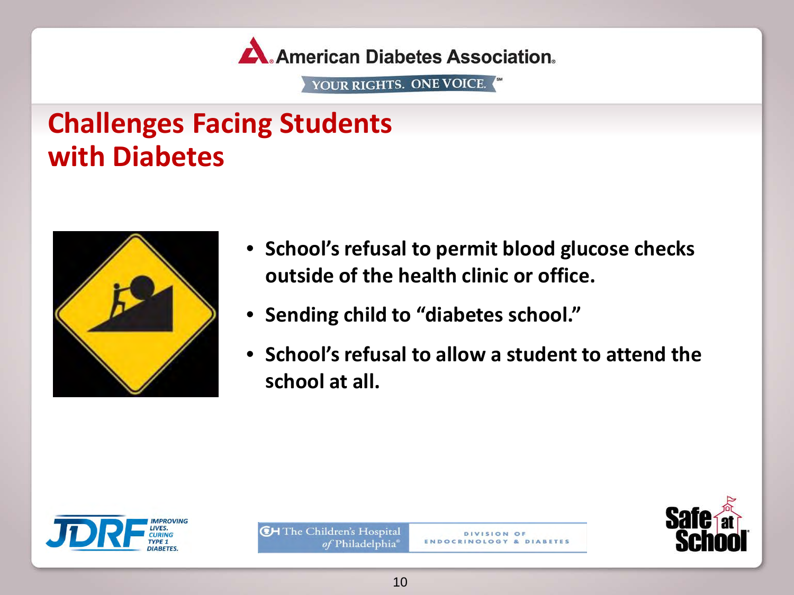

### **Challenges Facing Students with Diabetes**



- **School's refusal to permit blood glucose checks outside of the health clinic or office.**
- **Sending child to "diabetes school."**
- **School's refusal to allow a student to attend the school at all.**





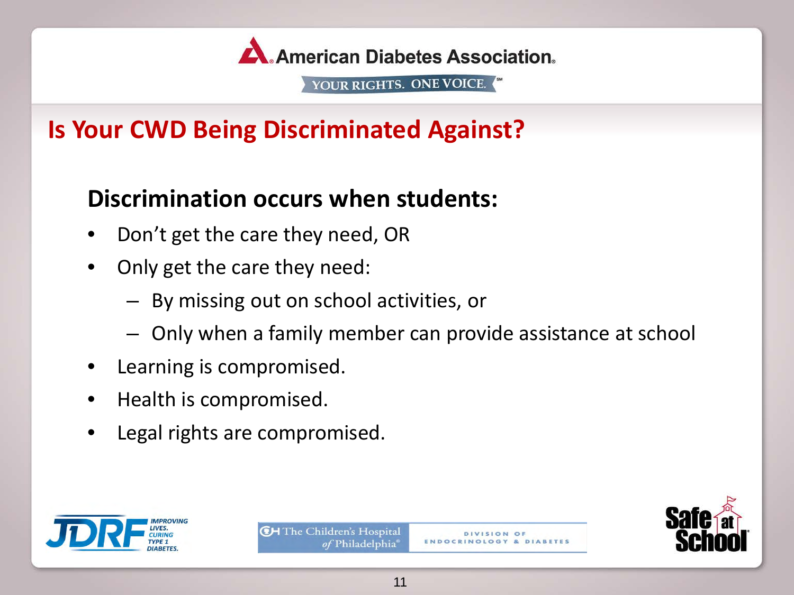

### **Is Your CWD Being Discriminated Against?**

### **Discrimination occurs when students:**

- Don't get the care they need, OR
- Only get the care they need:
	- By missing out on school activities, or
	- Only when a family member can provide assistance at school
- Learning is compromised.
- Health is compromised.
- Legal rights are compromised.





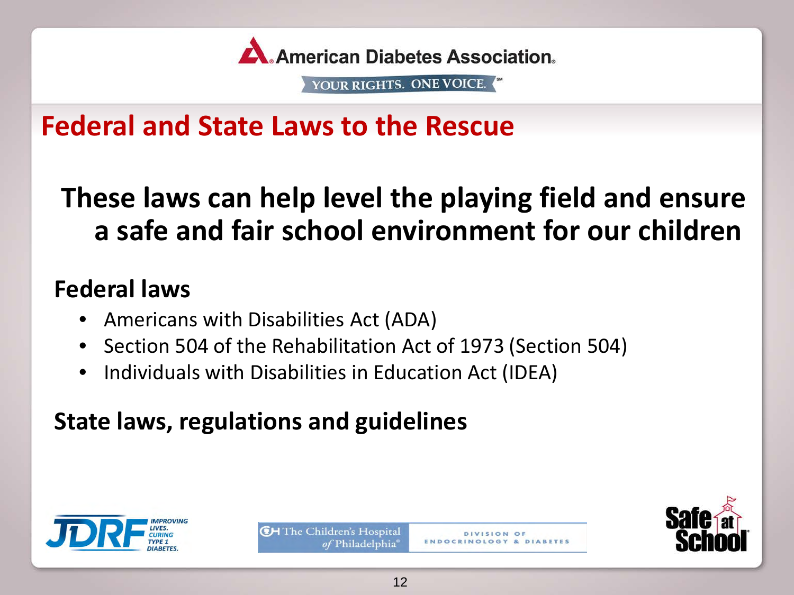

### **Federal and State Laws to the Rescue**

# **These laws can help level the playing field and ensure a safe and fair school environment for our children**

### **Federal laws**

- Americans with Disabilities Act (ADA)
- Section 504 of the Rehabilitation Act of 1973 (Section 504)
- Individuals with Disabilities in Education Act (IDEA)

### **State laws, regulations and guidelines**





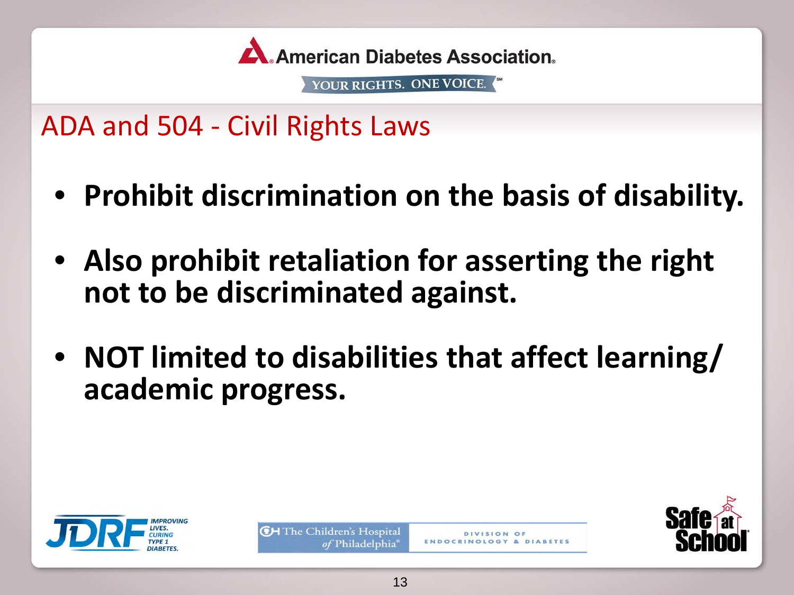

ADA and 504 - Civil Rights Laws

- **Prohibit discrimination on the basis of disability.**
- **Also prohibit retaliation for asserting the right not to be discriminated against.**
- **NOT limited to disabilities that affect learning/ academic progress.**





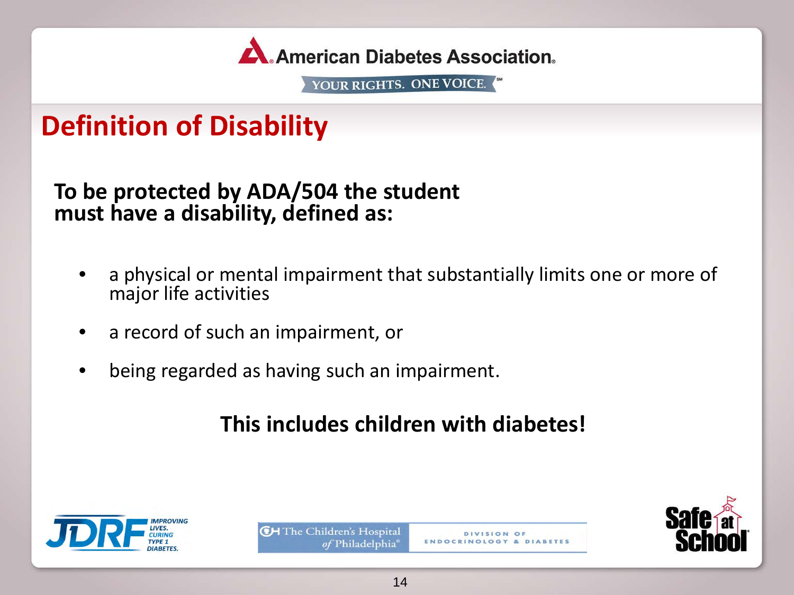

### **Definition of Disability**

**To be protected by ADA/504 the student must have a disability, defined as:**

- a physical or mental impairment that substantially limits one or more of major life activities
- a record of such an impairment, or
- being regarded as having such an impairment.

### **This includes children with diabetes!**





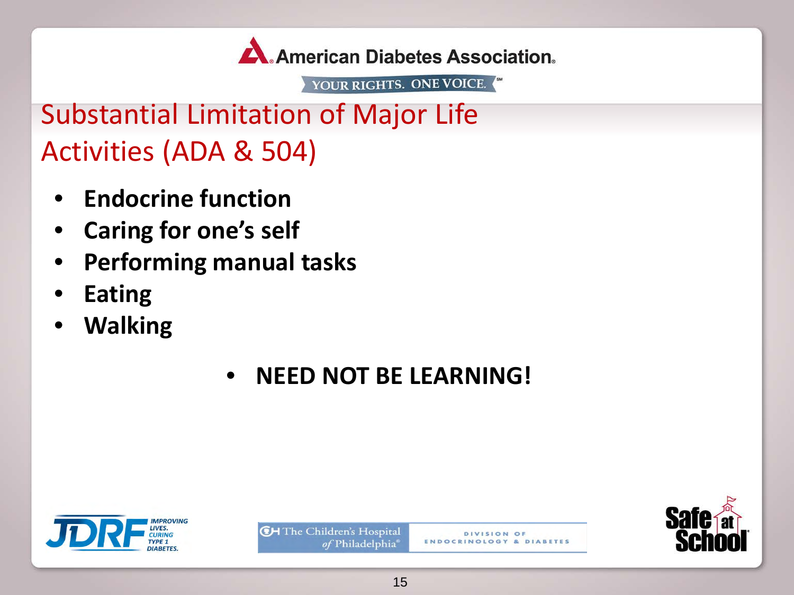

Substantial Limitation of Major Life Activities (ADA & 504)

- **Endocrine function**
- **Caring for one's self**
- **Performing manual tasks**
- **Eating**
- **Walking**

### • **NEED NOT BE LEARNING!**





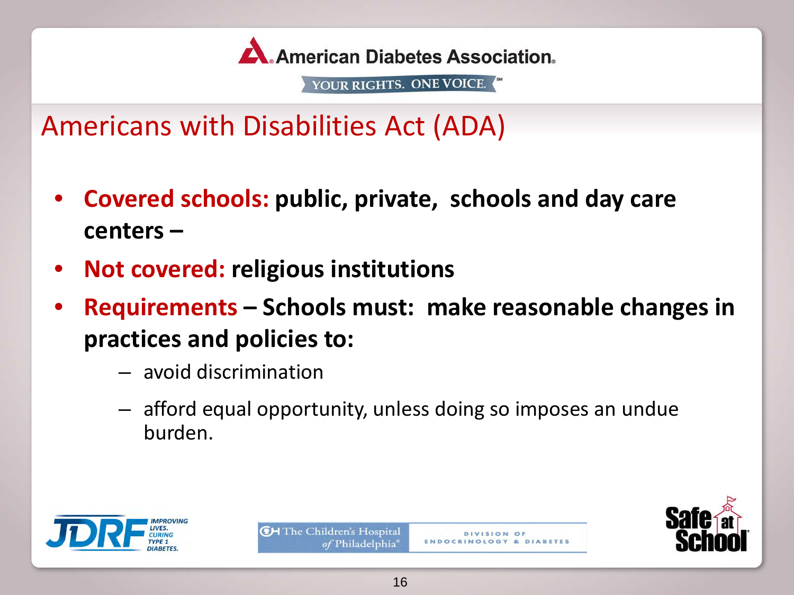

Americans with Disabilities Act (ADA)

- **Covered schools: public, private, schools and day care centers –**
- **Not covered: religious institutions**
- **Requirements Schools must: make reasonable changes in practices and policies to:**
	- avoid discrimination
	- afford equal opportunity, unless doing so imposes an undue burden.





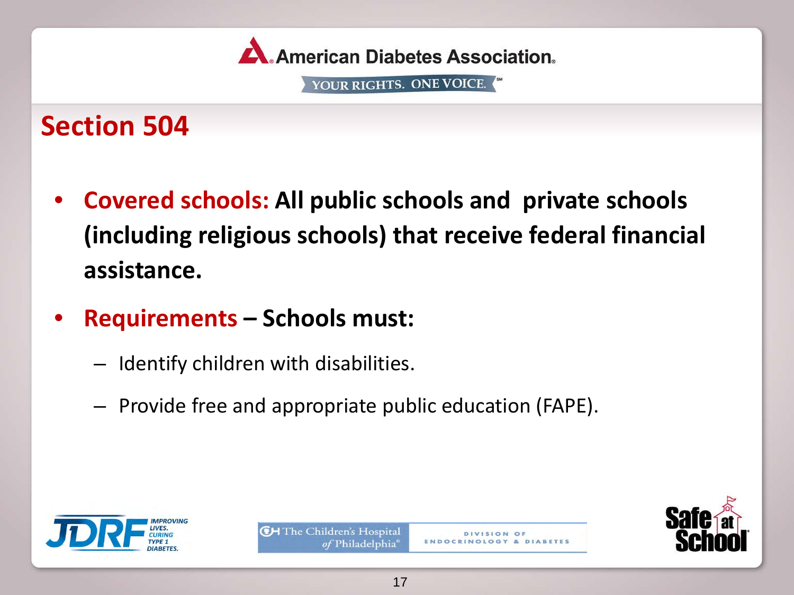

### **Section 504**

- **Covered schools: All public schools and private schools (including religious schools) that receive federal financial assistance.**
- **Requirements Schools must:**
	- Identify children with disabilities.
	- Provide free and appropriate public education (FAPE).





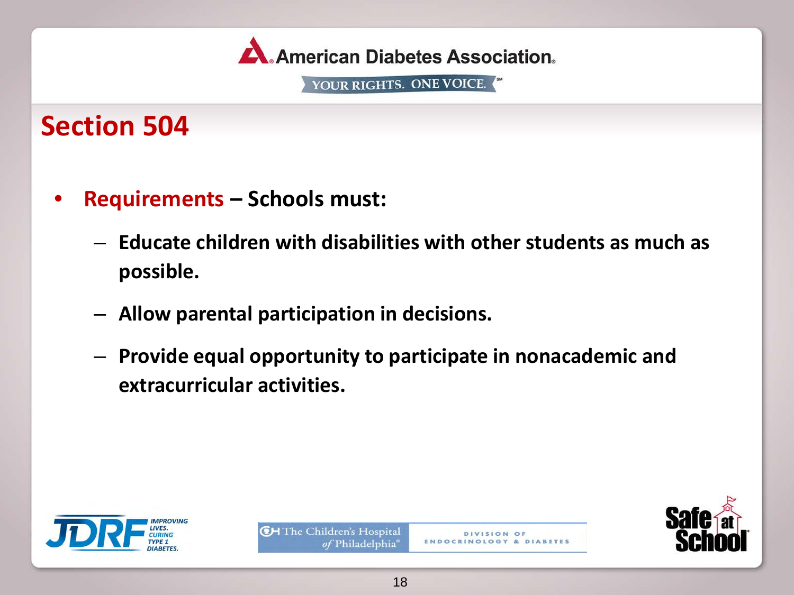

### **Section 504**

- **Requirements Schools must:**
	- **Educate children with disabilities with other students as much as possible.**
	- **Allow parental participation in decisions.**
	- **Provide equal opportunity to participate in nonacademic and extracurricular activities.**





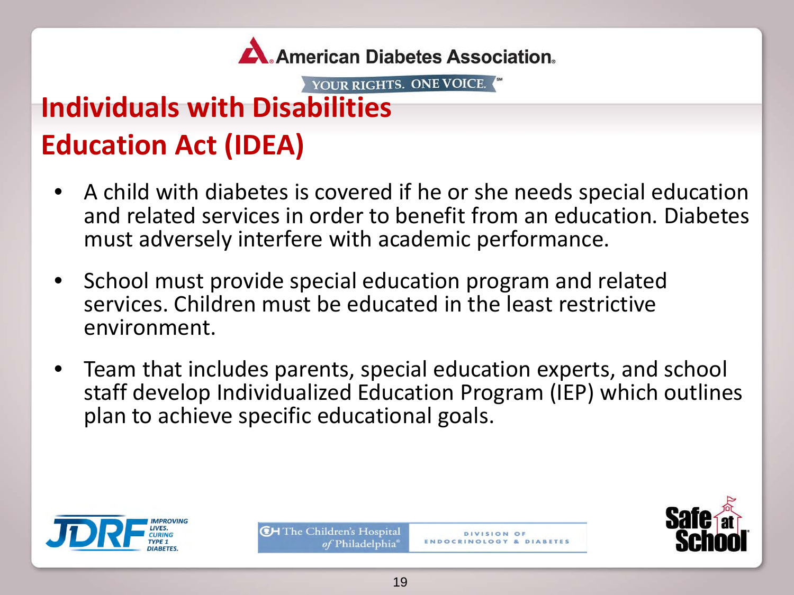

# **Individuals with Disabilities Education Act (IDEA)**

- A child with diabetes is covered if he or she needs special education and related services in order to benefit from an education. Diabetes must adversely interfere with academic performance.
- School must provide special education program and related services. Children must be educated in the least restrictive environment.
- Team that includes parents, special education experts, and school staff develop Individualized Education Program (IEP) which outlines plan to achieve specific educational goals.



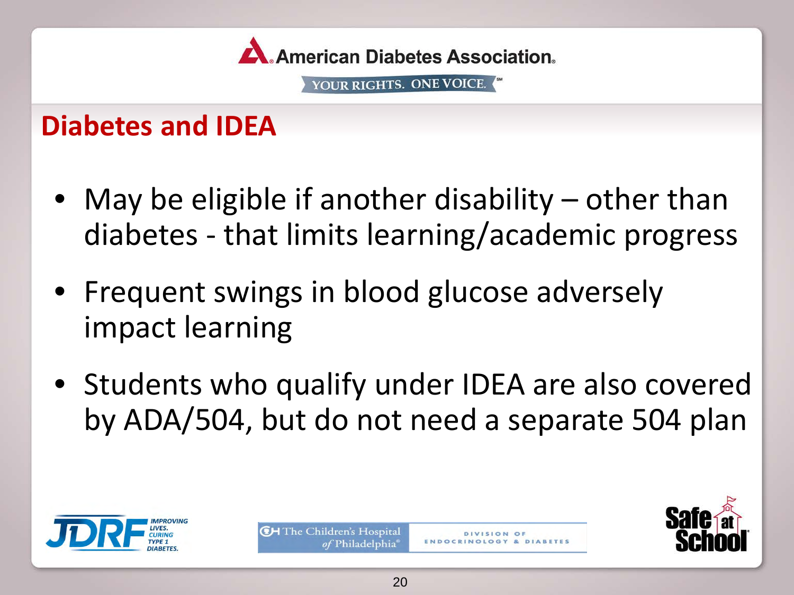

### **Diabetes and IDEA**

- May be eligible if another disability other than diabetes - that limits learning/academic progress
- Frequent swings in blood glucose adversely impact learning
- Students who qualify under IDEA are also covered by ADA/504, but do not need a separate 504 plan





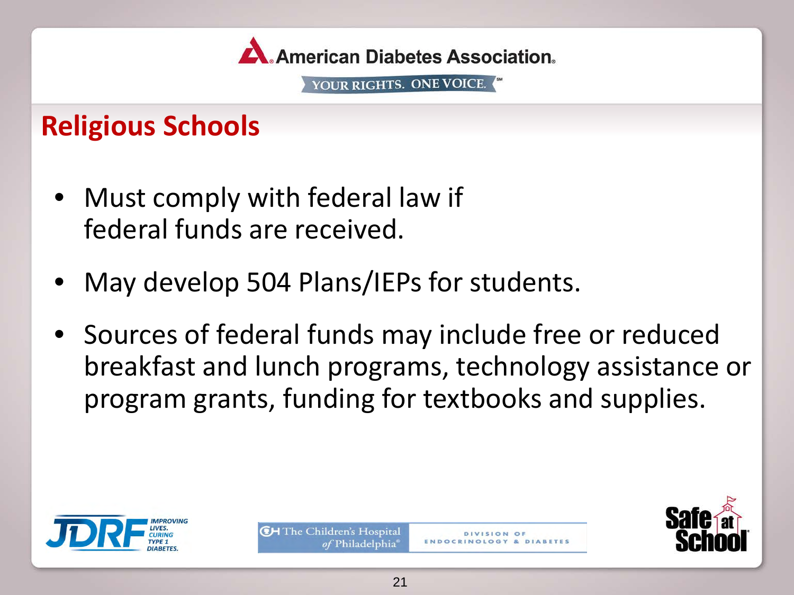

### **Religious Schools**

- Must comply with federal law if federal funds are received.
- May develop 504 Plans/IEPs for students.
- Sources of federal funds may include free or reduced breakfast and lunch programs, technology assistance or program grants, funding for textbooks and supplies.





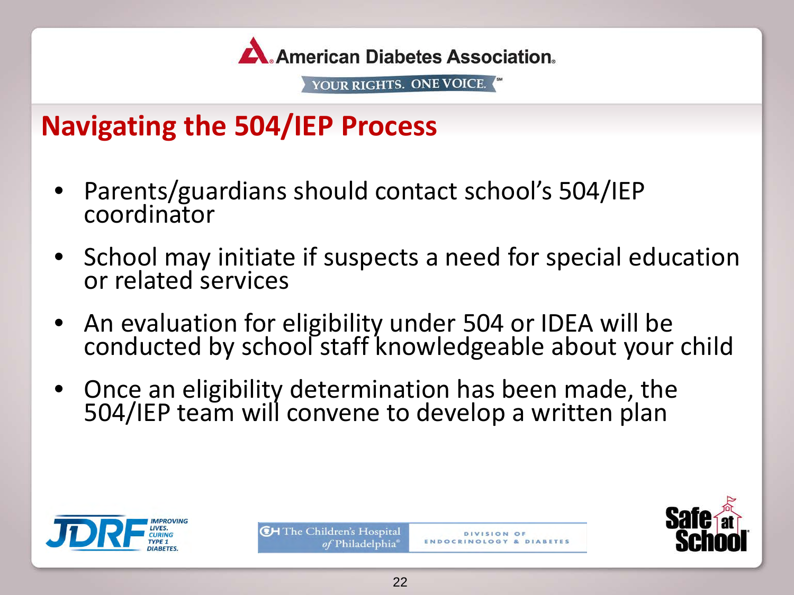

### **Navigating the 504/IEP Process**

- Parents/guardians should contact school's 504/IEP coordinator
- School may initiate if suspects a need for special education or related services
- An evaluation for eligibility under 504 or IDEA will be conducted by school staff knowledgeable about your child
- Once an eligibility determination has been made, the 504/IEP team will convene to develop a written plan





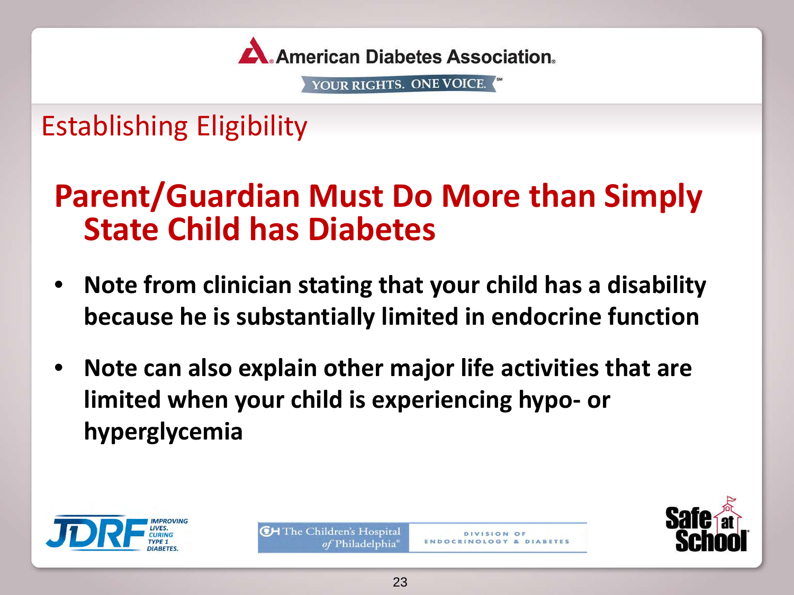

Establishing Eligibility

# **Parent/Guardian Must Do More than Simply State Child has Diabetes**

- **Note from clinician stating that your child has a disability because he is substantially limited in endocrine function**
- **Note can also explain other major life activities that are limited when your child is experiencing hypo- or hyperglycemia**



**CH** The Children's Hospital of Philadelphia



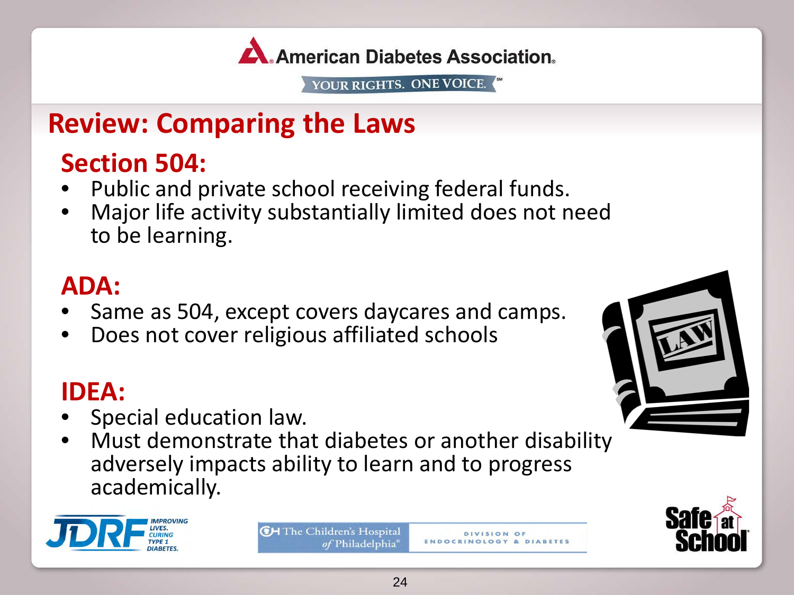

### **Review: Comparing the Laws**

- 
- **Section 504:**<br>• Public and private school receiving federal funds.<br>• Major life activity substantially limited does not need to be learning.

- **ADA:**<br>• Same as 504, except covers daycares and camps.<br>• Does not cover religious affiliated schools
- 

- **IDEA:**<br>• Special education law.
- Must demonstrate that diabetes or another disability adversely impacts ability to learn and to progress academically.



**CH** The Children's Hospital of Philadelphia



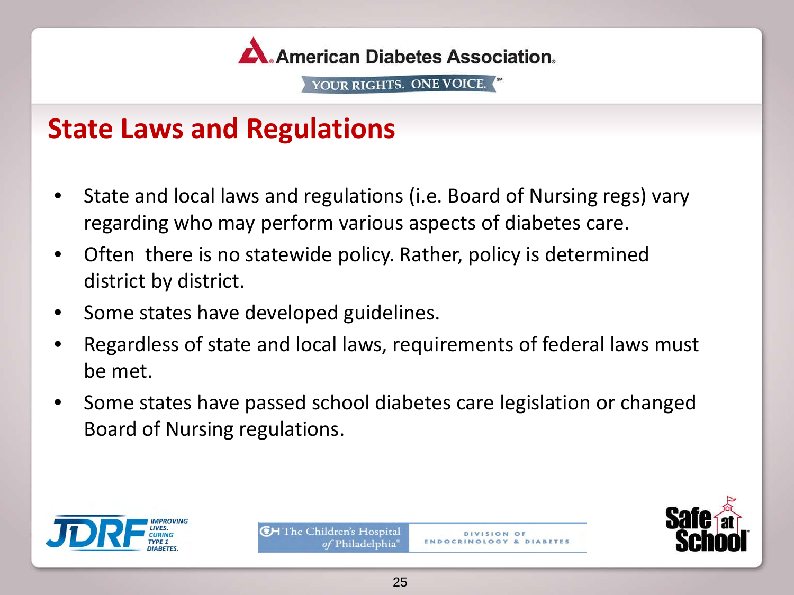

### **State Laws and Regulations**

- State and local laws and regulations (i.e. Board of Nursing regs) vary regarding who may perform various aspects of diabetes care.
- Often there is no statewide policy. Rather, policy is determined district by district.
- Some states have developed guidelines.
- Regardless of state and local laws, requirements of federal laws must be met.
- Some states have passed school diabetes care legislation or changed Board of Nursing regulations.





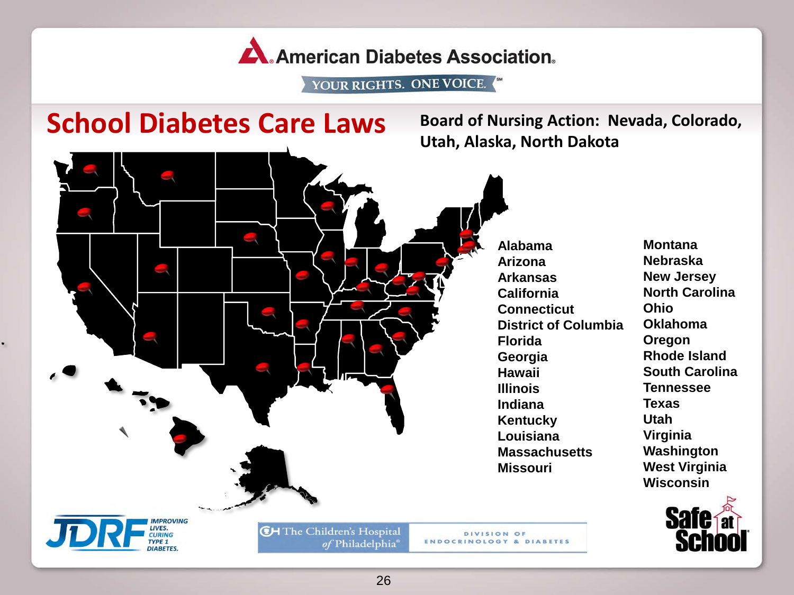A. American Diabetes Association.

YOUR RIGHTS. ONE VOICE.

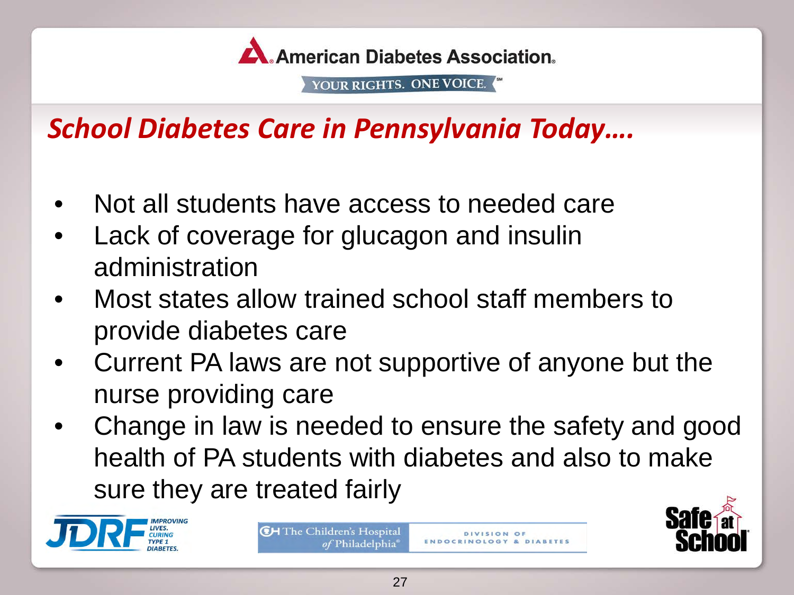

# *School Diabetes Care in Pennsylvania Today….*

- Not all students have access to needed care
- Lack of coverage for glucagon and insulin administration
- Most states allow trained school staff members to provide diabetes care
- Current PA laws are not supportive of anyone but the nurse providing care
- Change in law is needed to ensure the safety and good health of PA students with diabetes and also to make sure they are treated fairly



**CH** The Children's Hospital *of* Philadelphia

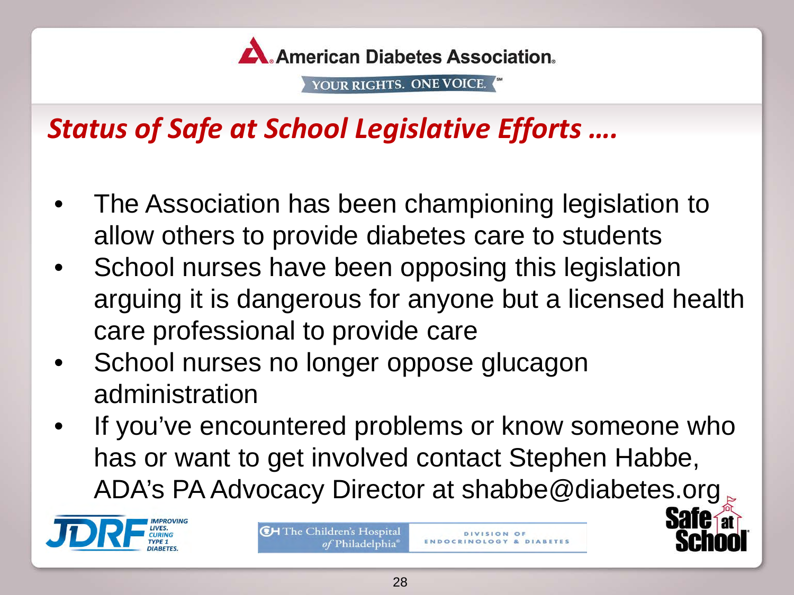

# *Status of Safe at School Legislative Efforts ….*

- The Association has been championing legislation to allow others to provide diabetes care to students
- School nurses have been opposing this legislation arguing it is dangerous for anyone but a licensed health care professional to provide care
- School nurses no longer oppose glucagon administration
- If you've encountered problems or know someone who has or want to get involved contact Stephen Habbe, ADA's PA Advocacy Director at shabbe@diabetes.org



**CH** The Children's Hospital *of* Philadelphia



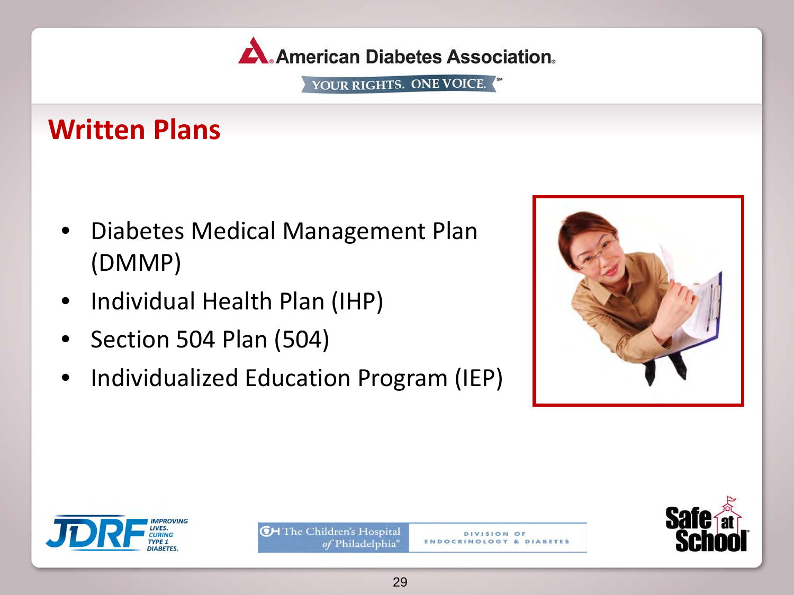

### **Written Plans**

- Diabetes Medical Management Plan (DMMP)
- Individual Health Plan (IHP)
- Section 504 Plan (504)
- Individualized Education Program (IEP)





**CH** The Children's Hospital of Philadelphia®



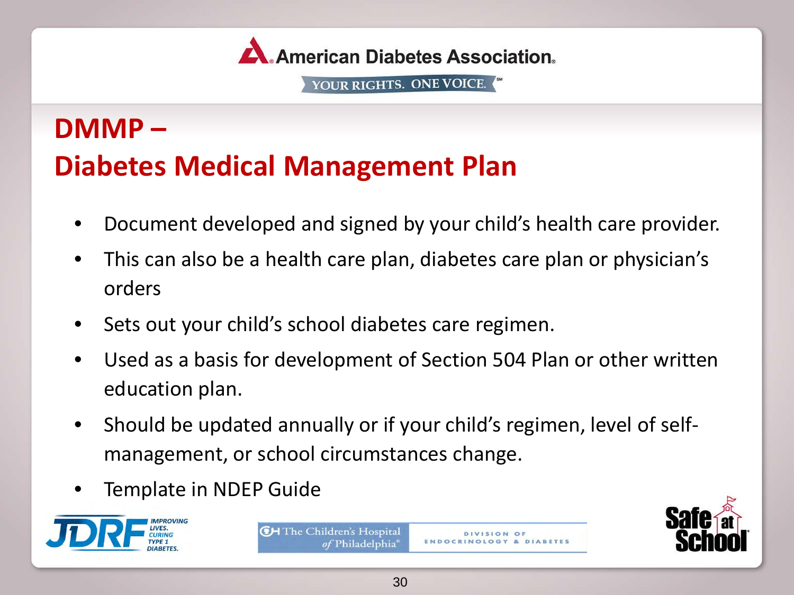

# **DMMP – Diabetes Medical Management Plan**

- Document developed and signed by your child's health care provider.
- This can also be a health care plan, diabetes care plan or physician's orders
- Sets out your child's school diabetes care regimen.
- Used as a basis for development of Section 504 Plan or other written education plan.
- Should be updated annually or if your child's regimen, level of selfmanagement, or school circumstances change.
- Template in NDEP Guide





DIVISION OF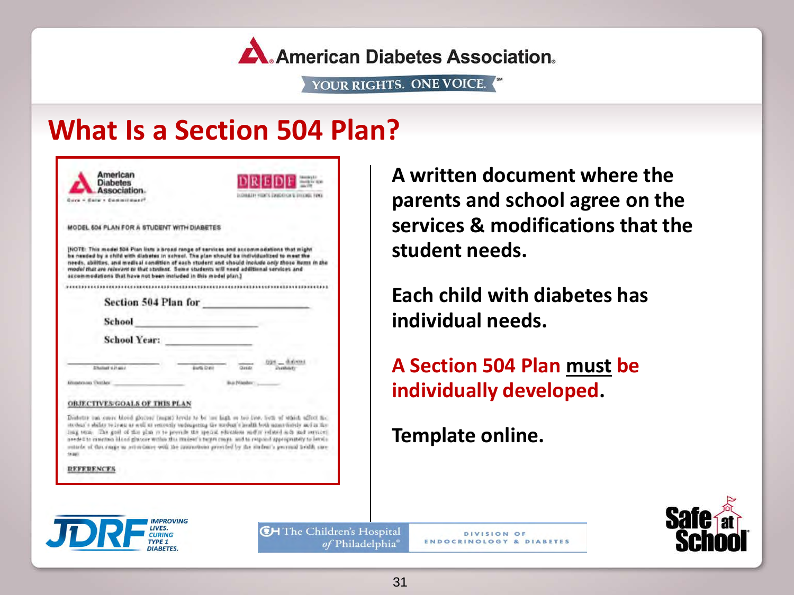**American Diabetes Association.** 

YOUR RIGHTS. ONE VOICE.

### **What Is a Section 504 Plan?**

| Association.<br>Guya + Salw + Commitment?                       | <b>EXPIREST FIGHTS EDUCATION &amp; DIVERSE FIRES</b>                                                                                                                                                                                                                                                                                                                                                                                                                                                                                                  |
|-----------------------------------------------------------------|-------------------------------------------------------------------------------------------------------------------------------------------------------------------------------------------------------------------------------------------------------------------------------------------------------------------------------------------------------------------------------------------------------------------------------------------------------------------------------------------------------------------------------------------------------|
| MODEL 504 PLAN FOR A STUDENT WITH DIABETES                      |                                                                                                                                                                                                                                                                                                                                                                                                                                                                                                                                                       |
| accommodations that have not been included in this model plan.) | [NOTE: This model 534 Plan lists a broad range of services and accommodations that might<br>be needed by a child with diabetes in school. The plan should be individualized to meet the<br>needs, abilities, and medical condition of each student and should include only those Nems in the<br>model that are reavvant to that student. Some students will need additional services and                                                                                                                                                              |
| Section 504 Plan for                                            |                                                                                                                                                                                                                                                                                                                                                                                                                                                                                                                                                       |
| School                                                          |                                                                                                                                                                                                                                                                                                                                                                                                                                                                                                                                                       |
| <b>School Year:</b>                                             |                                                                                                                                                                                                                                                                                                                                                                                                                                                                                                                                                       |
| STMinst 4.0 and                                                 | $025 - 0.0$ and<br>Euro Data<br><b>Duratolety</b>                                                                                                                                                                                                                                                                                                                                                                                                                                                                                                     |
| <b>Manateuran Territor</b>                                      | Buchtlander:                                                                                                                                                                                                                                                                                                                                                                                                                                                                                                                                          |
| <b>OBJECTIVES/GOALS OF THIS PLAN</b>                            |                                                                                                                                                                                                                                                                                                                                                                                                                                                                                                                                                       |
| <b>SHANY</b>                                                    | Disturbe out once blood gloces: (mgat) levels to be one high or ten live, but of which affect to:<br>stedan's shifty to league as well as concernly variousning the stedant's health both amonytotely and in the<br>ling term. The goal of the plus in to provide the special education midle velocid achi and services.<br>needs it is mainten blood gluone within this modent's turner maps, and to respond appropriately to levely.<br>sunteds of this range in action limes with the communitions provided by the sixdent's pervised health care. |
|                                                                 |                                                                                                                                                                                                                                                                                                                                                                                                                                                                                                                                                       |

**DIABETES** 

**A written document where the parents and school agree on the services & modifications that the student needs.**

**Each child with diabetes has individual needs.** 

**A Section 504 Plan must be individually developed.** 

**Template online.**

DIVISION OF **ENDOCRINOLOGY & DIABETES** 



Hospital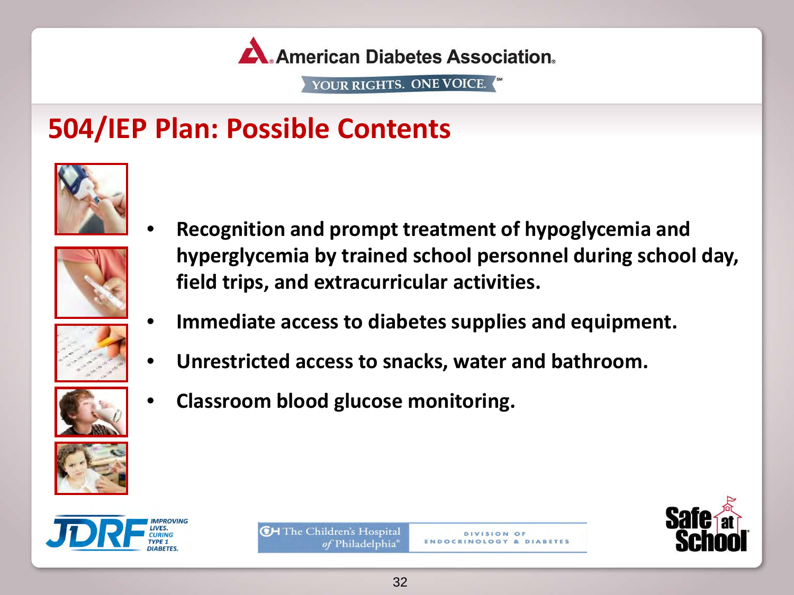

### **504/IEP Plan: Possible Contents**





- **Recognition and prompt treatment of hypoglycemia and hyperglycemia by trained school personnel during school day, field trips, and extracurricular activities.**
- **Immediate access to diabetes supplies and equipment.**
- **Unrestricted access to snacks, water and bathroom.**



• **Classroom blood glucose monitoring.**





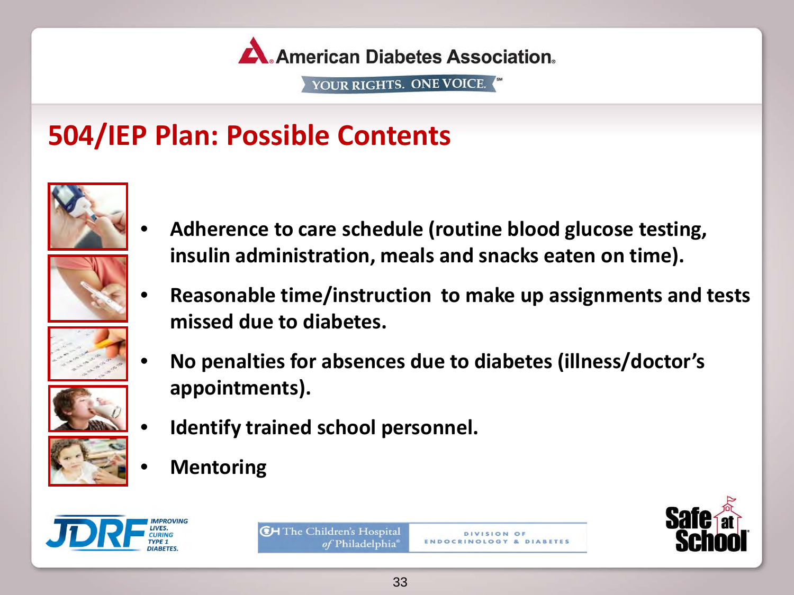

# **504/IEP Plan: Possible Contents**





- **Adherence to care schedule (routine blood glucose testing, insulin administration, meals and snacks eaten on time).**
- **Reasonable time/instruction to make up assignments and tests missed due to diabetes.**



• **No penalties for absences due to diabetes (illness/doctor's appointments).**



- **Identify trained school personnel.**
- 
- **Mentoring**





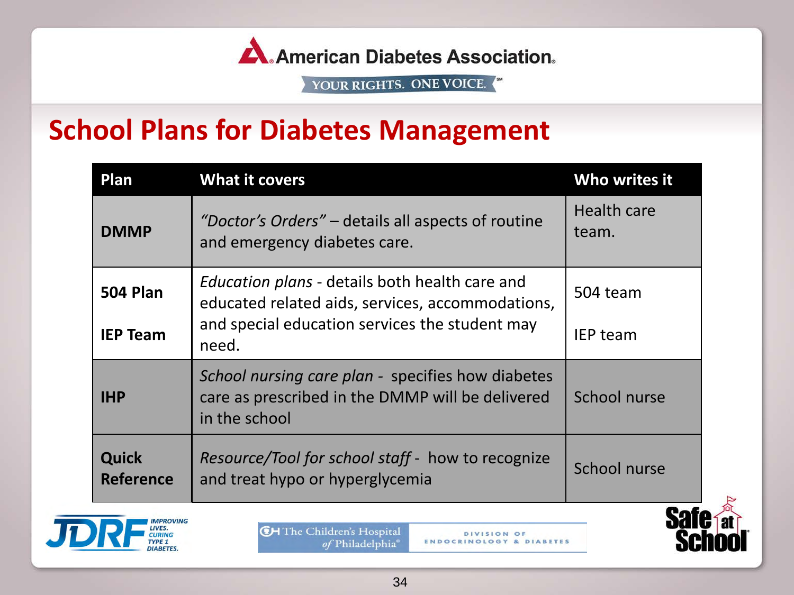

### **School Plans for Diabetes Management**

| Plan                             | <b>What it covers</b>                                                                                                  | Who writes it               |
|----------------------------------|------------------------------------------------------------------------------------------------------------------------|-----------------------------|
| <b>DMMP</b>                      | "Doctor's Orders" – details all aspects of routine<br>and emergency diabetes care.                                     | <b>Health care</b><br>team. |
| <b>504 Plan</b>                  | <i>Education plans - details both health care and</i><br>educated related aids, services, accommodations,              | 504 team                    |
| <b>IEP Team</b>                  | and special education services the student may<br>need.                                                                | <b>IEP</b> team             |
| <b>IHP</b>                       | School nursing care plan - specifies how diabetes<br>care as prescribed in the DMMP will be delivered<br>in the school | School nurse                |
| <b>Quick</b><br><b>Reference</b> | Resource/Tool for school staff - how to recognize<br>and treat hypo or hyperglycemia                                   | School nurse                |



**CH** The Children's Hospital of Philadelphia®

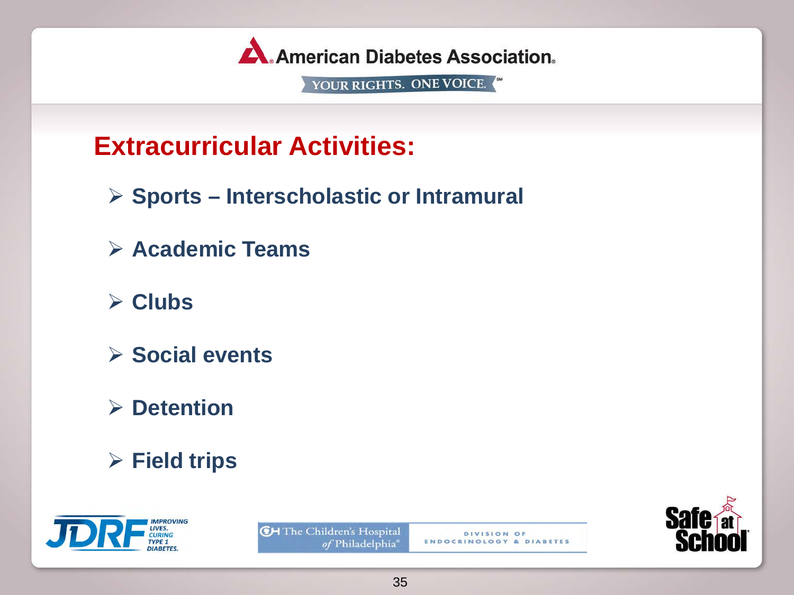

### **Extracurricular Activities:**

- **Sports Interscholastic or Intramural**
- **Academic Teams**
- **Clubs**
- **Social events**
- **Detention**
- **Field trips**





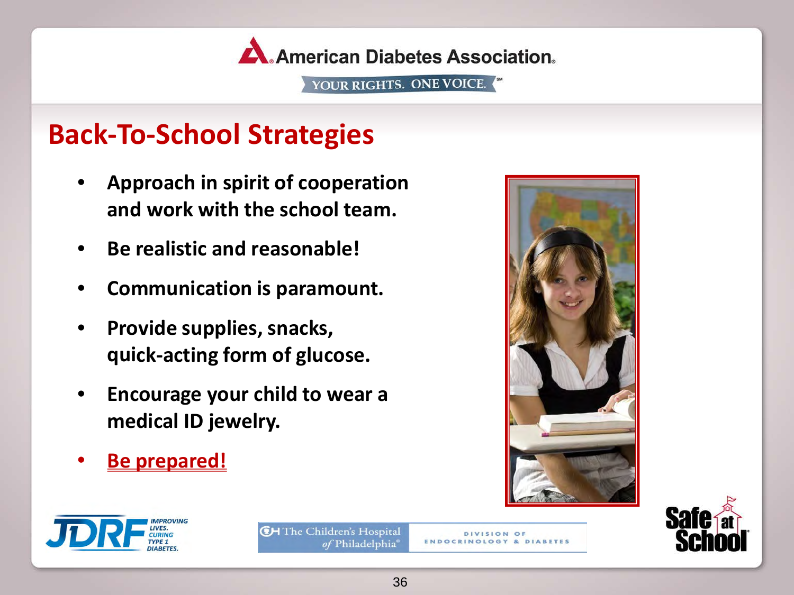

### **Back-To-School Strategies**

- **Approach in spirit of cooperation and work with the school team.**
- **Be realistic and reasonable!**
- **Communication is paramount.**
- **Provide supplies, snacks, quick-acting form of glucose.**
- **Encourage your child to wear a medical ID jewelry.**
- **Be prepared!**





**DIVISION OF ENDOCRINOLOGY & DIABETES** 





36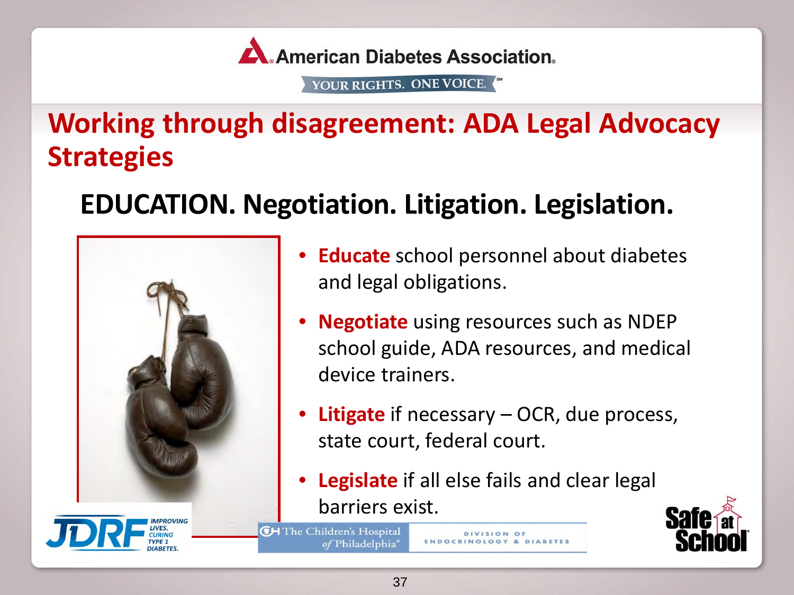

# **Working through disagreement: ADA Legal Advocacy Strategies**

# **EDUCATION. Negotiation. Litigation. Legislation.**



- **Educate** school personnel about diabetes and legal obligations.
- **Negotiate** using resources such as NDEP school guide, ADA resources, and medical device trainers.
- **Litigate** if necessary OCR, due process, state court, federal court.
- **Legislate** if all else fails and clear legal barriers exist.

**CH** The Children's Hospital of Philadelphia

**DIVISION OF** 

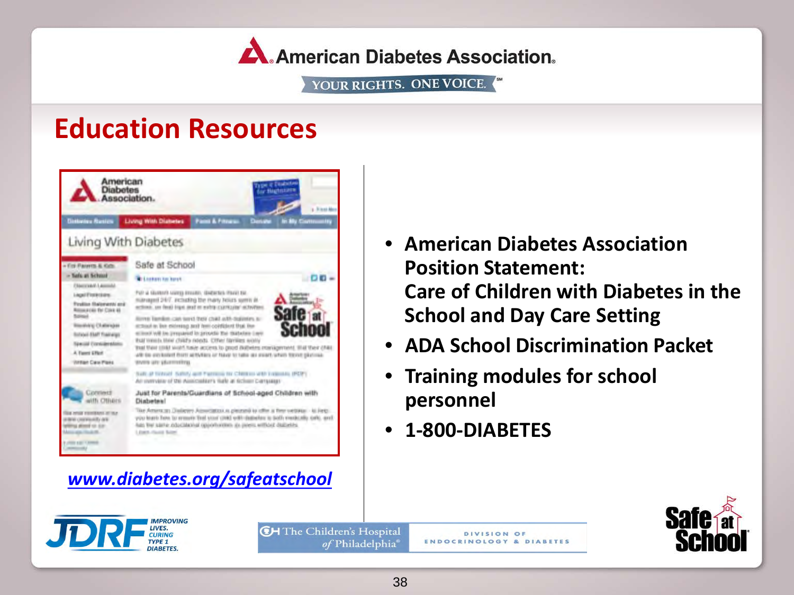A. American Diabetes Association.

YOUR RIGHTS. ONE VOICE.

### **Education Resources**



- **American Diabetes Association Position Statement: Care of Children with Diabetes in the School and Day Care Setting**
- **ADA School Discrimination Packet**
- **Training modules for school personnel**
- **1-800-DIABETES**



**CH** The Children's Hospital of Philadelphia®

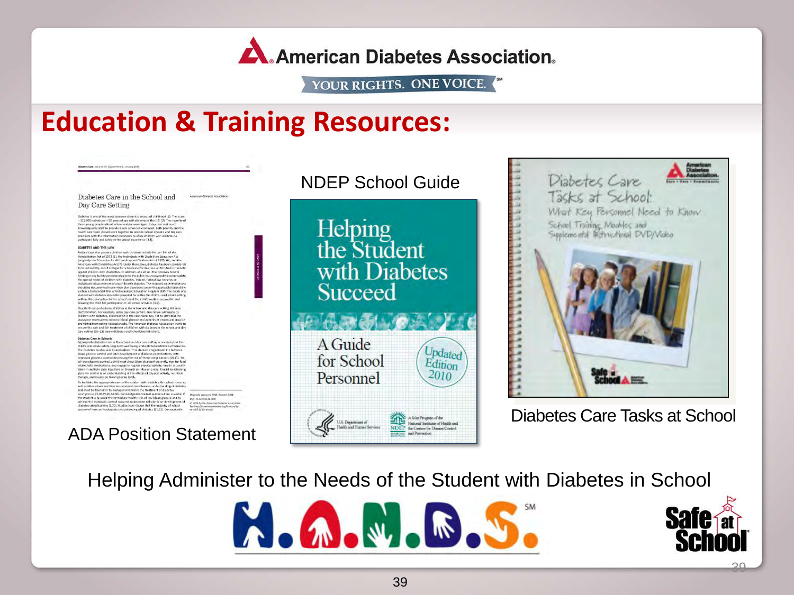A. American Diabetes Association.

YOUR RIGHTS. ONE VOICE.

### **Education & Training Resources:**

Cars Mitures IV, Mondament I, Group's 1912 Diabetes Care in the School and American Districted Attockstune Day Care Setting Dubeles is one of the most common chronic diseases of childhood (1). There are these parameters are considered in the U.S. (1). The magnitude of the state with the state of the state of the state of the state of the state DIABETES AND THE LAW DARTTES AND THE LAW<br>
Hersel Contains and the state of the state of the state of the state of the state of the<br>
Hersel Law that protect children with shaheldes include Satisfaction Art<br>
Lengthaly the Education As at 1973 ( courses worr tragerates of natematical ssessment of any critic with disactios. The required accommodate<br>hould be documented in a written plan developed under the applicable folleral<br>unit as a Section Sol Plan ar individual and Education Program (IBP with is little disruption to the school's ind the child's routin a most a man is the school of the child's routing to possible and allowing the child full participation in all school activities (8,9). .<br>Despite these protections, children in the school and day care setting still fac Under these professions, constraints in the sets of any one of activating with the<br>constraints of the sets of the sets of a set of a sets of a set of a<br>set of the sets of a sets of a sets of a set of a set of a set of<br>the Disbetes Care in Schools Dialettes Care In Babools.<br>  $\alpha$  is the sixted and day are setting in recessary for the delicit consistent of the sixted and day are setting in recession of the Dialetts Care in the United States (see the United States (s trade that the appropriate case of the statest with state<br>for, the school mate is a specified case of the statest with state<br>for, the control of the state of the state of the state of the state<br>of the state of the state o ADA Position Statement





Diabetes Care Tasks at School

Helping Administer to the Needs of the Student with Diabetes in School





39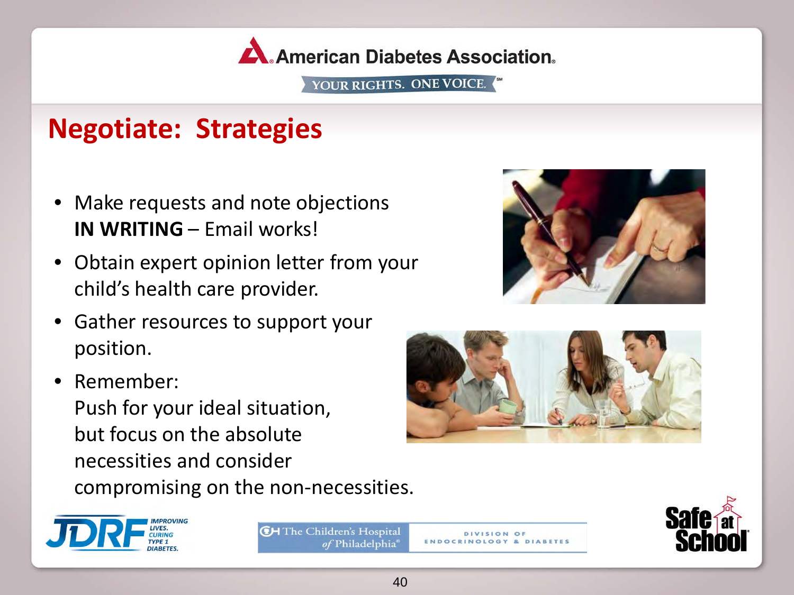

# **Negotiate: Strategies**

- Make requests and note objections **IN WRITING** – Email works!
- Obtain expert opinion letter from your child's health care provider.
- Gather resources to support your position.
- Remember: Push for your ideal situation, but focus on the absolute necessities and consider compromising on the non-necessities.







**CH** The Children's Hospital of Philadelphia

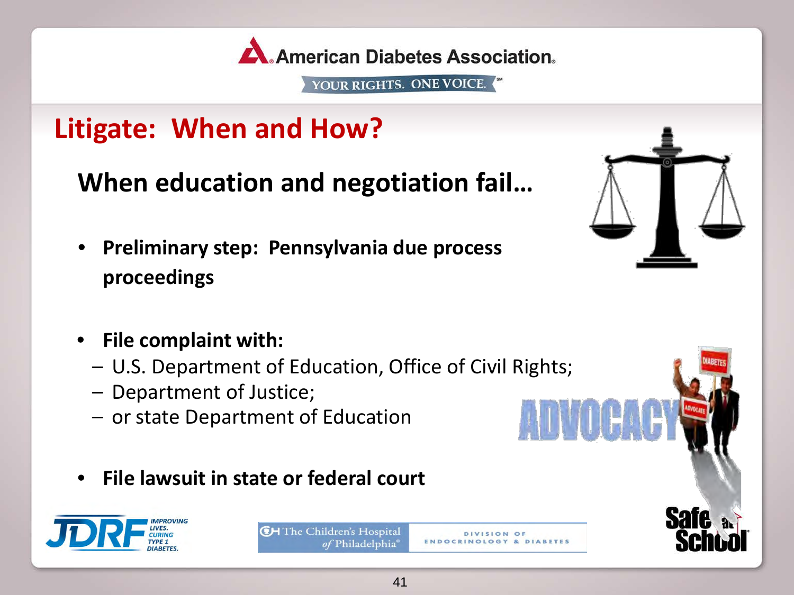

# **Litigate: When and How?**

**When education and negotiation fail…**

• **Preliminary step: Pennsylvania due process proceedings** 



**Safe** 

- **File complaint with:** 
	- U.S. Department of Education, Office of Civil Rights;
	- Department of Justice;
	- or state Department of Education
- **File lawsuit in state or federal court**



**CH** The Children's Hospital of Philadelphia

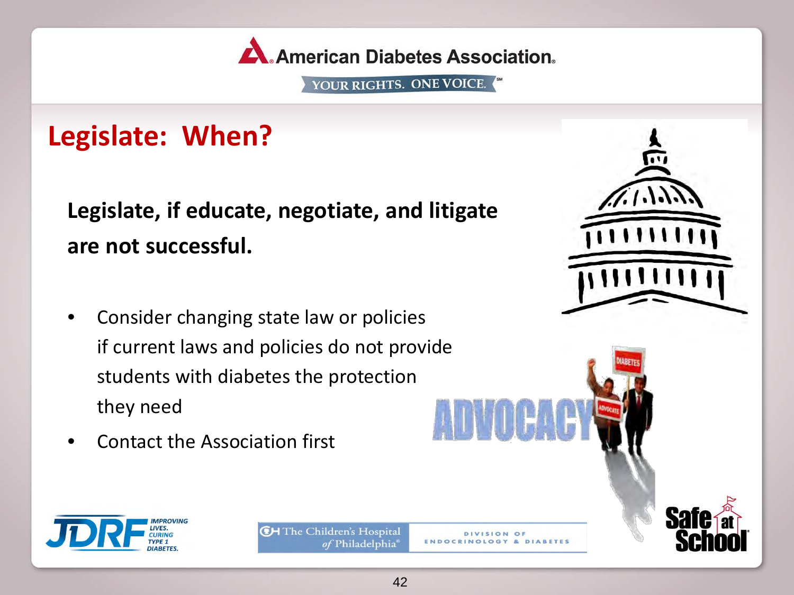

# **Legislate: When?**

**Legislate, if educate, negotiate, and litigate are not successful.**

- Consider changing state law or policies if current laws and policies do not provide students with diabetes the protection they need
- Contact the Association first



**CH** The Children's Hospital of Philadelphia®

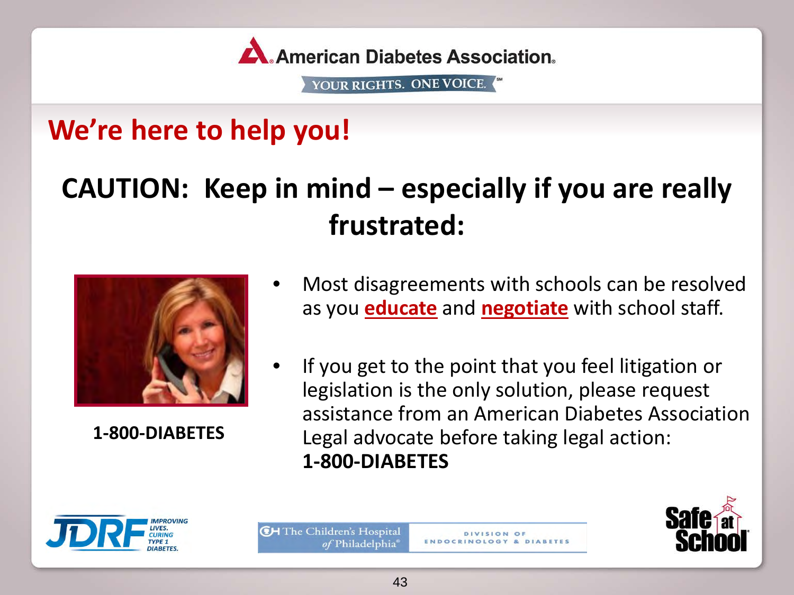

# **We're here to help you!**

# **CAUTION: Keep in mind – especially if you are really frustrated:**



**1-800-DIABETES** 

- Most disagreements with schools can be resolved as you **educate** and **negotiate** with school staff.
- If you get to the point that you feel litigation or legislation is the only solution, please request assistance from an American Diabetes Association Legal advocate before taking legal action: **1-800-DIABETES**



**CH** The Children's Hospital of Philadelphia

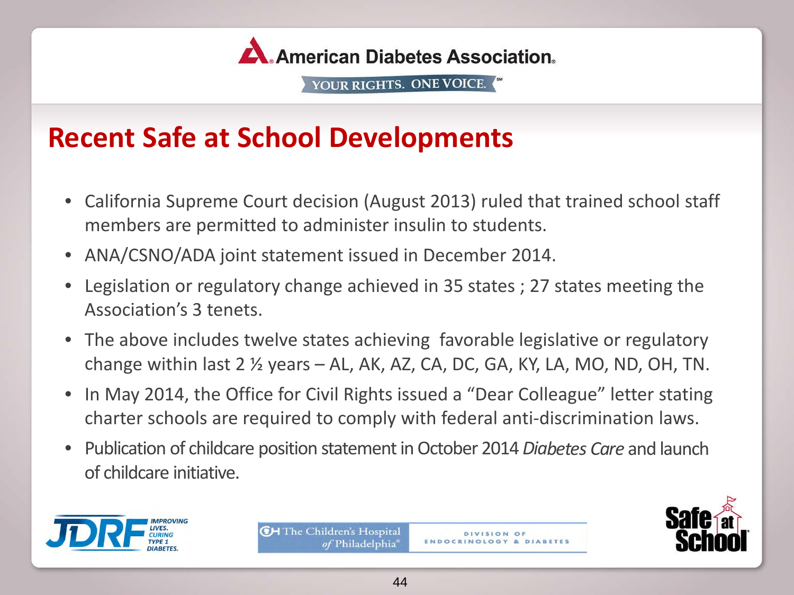

### **Recent Safe at School Developments**

- California Supreme Court decision (August 2013) ruled that trained school staff members are permitted to administer insulin to students.
- ANA/CSNO/ADA joint statement issued in December 2014.
- Legislation or regulatory change achieved in 35 states ; 27 states meeting the Association's 3 tenets.
- The above includes twelve states achieving favorable legislative or regulatory change within last  $2 \frac{1}{2}$  years  $-$  AL, AK, AZ, CA, DC, GA, KY, LA, MO, ND, OH, TN.
- In May 2014, the Office for Civil Rights issued a "Dear Colleague" letter stating charter schools are required to comply with federal anti-discrimination laws.
- Publication of childcare position statement in October 2014 *Diabetes Care* and launch of childcare initiative.







DIVISION OF